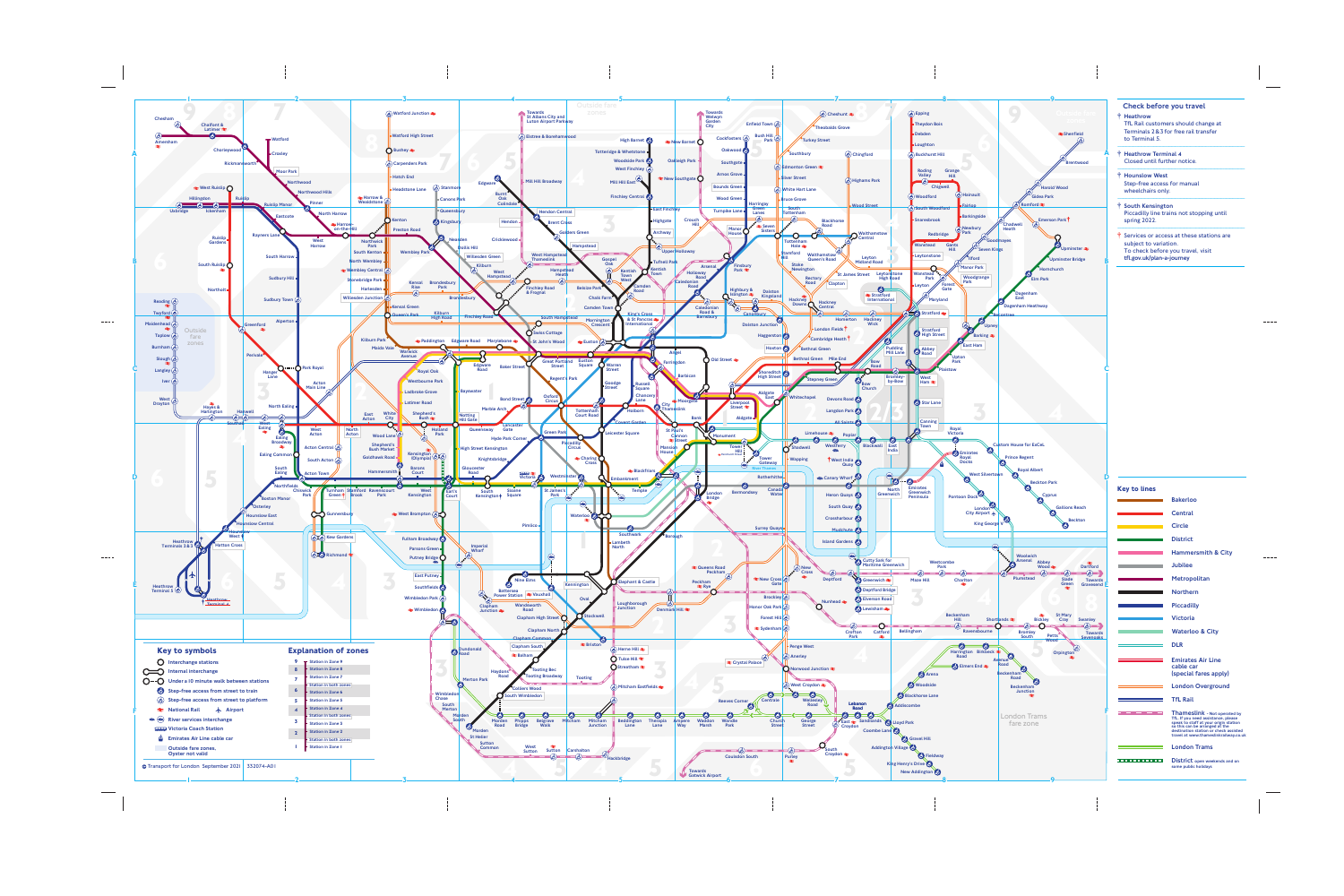| <b>Key to lines</b> |                                                                                                                                                                                                                                         |
|---------------------|-----------------------------------------------------------------------------------------------------------------------------------------------------------------------------------------------------------------------------------------|
|                     | <b>Bakerloo</b>                                                                                                                                                                                                                         |
|                     | <b>Central</b>                                                                                                                                                                                                                          |
|                     | <b>Circle</b>                                                                                                                                                                                                                           |
|                     | <b>District</b>                                                                                                                                                                                                                         |
|                     | <b>Hammersmith &amp; City</b>                                                                                                                                                                                                           |
|                     | <b>Jubilee</b>                                                                                                                                                                                                                          |
|                     | <b>Metropolitan</b>                                                                                                                                                                                                                     |
|                     | <b>Northern</b>                                                                                                                                                                                                                         |
|                     | <b>Piccadilly</b>                                                                                                                                                                                                                       |
|                     | <b>Victoria</b>                                                                                                                                                                                                                         |
|                     | <b>Waterloo &amp; City</b>                                                                                                                                                                                                              |
|                     | <b>DLR</b>                                                                                                                                                                                                                              |
|                     | <b>Emirates Air Line</b><br>cable car<br>(special fares apply)                                                                                                                                                                          |
|                     | <b>London Overground</b>                                                                                                                                                                                                                |
|                     | <b>TfL Rail</b>                                                                                                                                                                                                                         |
|                     | <b>Thameslink</b> - Not operated by<br>TfL. If you need assistance, please<br>speak to staff at your origin station<br>so this can be arranged at the<br>destination station or check assisted<br>travel at www.thameslinkrailway.co.uk |
|                     | <b>London Trams</b>                                                                                                                                                                                                                     |
|                     | <b>District</b> open weekends and on<br>some public holidays                                                                                                                                                                            |

## Check before you travel § Heathrow

- TfL Rail customers should change at Terminals 2 & 3 for free rail transfer to Terminal 5. ---------------------------------------------------------------------------
- § Heathrow Terminal 4 Closed until further notice. ---------------------------------------------------------------------------
- § Hounslow West Step-free access for manual wheelchairs only.
- --------------------------------------------------------------------------- § South Kensington Piccadilly line trains not stopping until spring 2022.
- ---------------------------------------------------------------------------  $\dagger$  Services or access at these stations are subject to variation. To check before you travel, visit tfl.gov.uk/plan-a-journey

 $----\,$ 

 $----$ 



| ŗ<br>de<br>en | $\mathbf{D}$ artford<br>ශි<br><b>Towards</b><br>F<br><b>Gravesend</b> |
|---------------|-----------------------------------------------------------------------|
|               | O)                                                                    |
|               | <b>Swanley</b><br>5)<br>ج)                                            |
| ton           | <b>Towards</b><br><b>Sevenoaks</b>                                    |
|               |                                                                       |
|               |                                                                       |